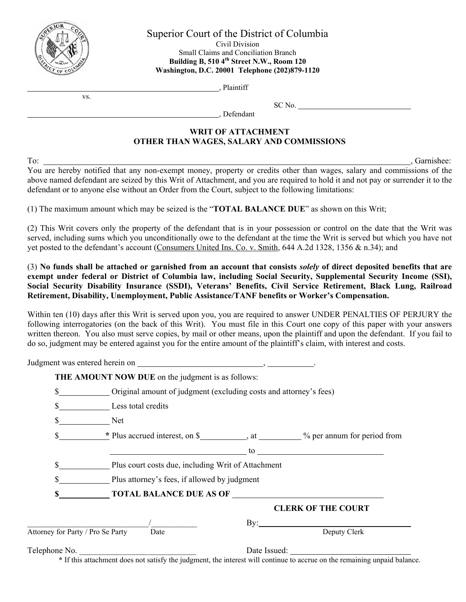

Superior Court of the District of Columbia

Civil Division Small Claims and Conciliation Branch **Building B, 510 4th Street N.W., Room 120 Washington, D.C. 20001 Telephone (202)879-1120** 

, Plaintiff

vs.

 SC No. , Defendant

## **WRIT OF ATTACHMENT OTHER THAN WAGES, SALARY AND COMMISSIONS**

To: Garnishee: Garnishee: You are hereby notified that any non-exempt money, property or credits other than wages, salary and commissions of the above named defendant are seized by this Writ of Attachment, and you are required to hold it and not pay or surrender it to the defendant or to anyone else without an Order from the Court, subject to the following limitations:

(1) The maximum amount which may be seized is the "**TOTAL BALANCE DUE**" as shown on this Writ;

(2) This Writ covers only the property of the defendant that is in your possession or control on the date that the Writ was served, including sums which you unconditionally owe to the defendant at the time the Writ is served but which you have not yet posted to the defendant's account (Consumers United Ins. Co. v. Smith, 644 A.2d 1328, 1356 & n.34); and

(3) **No funds shall be attached or garnished from an account that consists** *solely* **of direct deposited benefits that are exempt under federal or District of Columbia law, including Social Security, Supplemental Security Income (SSI), Social Security Disability Insurance (SSDI), Veterans' Benefits, Civil Service Retirement, Black Lung, Railroad Retirement, Disability, Unemployment, Public Assistance/TANF benefits or Worker's Compensation.** 

Within ten (10) days after this Writ is served upon you, you are required to answer UNDER PENALTIES OF PERJURY the following interrogatories (on the back of this Writ). You must file in this Court one copy of this paper with your answers written thereon. You also must serve copies, by mail or other means, upon the plaintiff and upon the defendant. If you fail to do so, judgment may be entered against you for the entire amount of the plaintiff's claim, with interest and costs.

|                                   | THE AMOUNT NOW DUE on the judgment is as follows:                                                                                           |                                                                                                                                                 |                                                                                                                                                                                                                                |  |  |
|-----------------------------------|---------------------------------------------------------------------------------------------------------------------------------------------|-------------------------------------------------------------------------------------------------------------------------------------------------|--------------------------------------------------------------------------------------------------------------------------------------------------------------------------------------------------------------------------------|--|--|
| \$                                | Original amount of judgment (excluding costs and attorney's fees)                                                                           |                                                                                                                                                 |                                                                                                                                                                                                                                |  |  |
|                                   | \$ Less total credits                                                                                                                       |                                                                                                                                                 |                                                                                                                                                                                                                                |  |  |
| \$ Net                            |                                                                                                                                             |                                                                                                                                                 |                                                                                                                                                                                                                                |  |  |
|                                   |                                                                                                                                             |                                                                                                                                                 | \$<br>All the secret interest, on \$                                                                                                                                                                                           |  |  |
|                                   |                                                                                                                                             |                                                                                                                                                 | to the contract of the contract of the contract of the contract of the contract of the contract of the contract of the contract of the contract of the contract of the contract of the contract of the contract of the contrac |  |  |
|                                   | Plus court costs due, including Writ of Attachment                                                                                          |                                                                                                                                                 |                                                                                                                                                                                                                                |  |  |
|                                   | Plus attorney's fees, if allowed by judgment                                                                                                |                                                                                                                                                 |                                                                                                                                                                                                                                |  |  |
|                                   |                                                                                                                                             |                                                                                                                                                 |                                                                                                                                                                                                                                |  |  |
|                                   |                                                                                                                                             |                                                                                                                                                 | <b>CLERK OF THE COURT</b>                                                                                                                                                                                                      |  |  |
|                                   |                                                                                                                                             |                                                                                                                                                 | $\mathbf{By:}$                                                                                                                                                                                                                 |  |  |
| Attorney for Party / Pro Se Party | Date                                                                                                                                        |                                                                                                                                                 | Deputy Clerk                                                                                                                                                                                                                   |  |  |
| Telephone No.                     | $\mathcal{L}$ and $\mathcal{L}$ and $\mathcal{L}$ and $\mathcal{L}$ and $\mathcal{L}$ and $\mathcal{L}$ and $\mathcal{L}$ and $\mathcal{L}$ | and the control of the control of the control of the control of the control of the control of the control of the<br>$\sim$ $\sim$ $\sim$ $\sim$ |                                                                                                                                                                                                                                |  |  |

**\*** If this attachment does not satisfy the judgment, the interest will continue to accrue on the remaining unpaid balance.